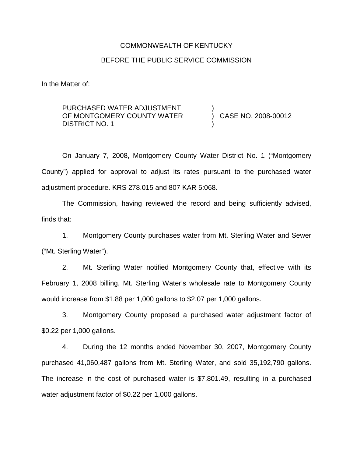# COMMONWEALTH OF KENTUCKY BEFORE THE PUBLIC SERVICE COMMISSION

In the Matter of:

PURCHASED WATER ADJUSTMENT OF MONTGOMERY COUNTY WATER DISTRICT NO. 1

) CASE NO. 2008-00012

)

)

On January 7, 2008, Montgomery County Water District No. 1 ("Montgomery County") applied for approval to adjust its rates pursuant to the purchased water adjustment procedure. KRS 278.015 and 807 KAR 5:068.

The Commission, having reviewed the record and being sufficiently advised, finds that:

1. Montgomery County purchases water from Mt. Sterling Water and Sewer ("Mt. Sterling Water").

2. Mt. Sterling Water notified Montgomery County that, effective with its February 1, 2008 billing, Mt. Sterling Water's wholesale rate to Montgomery County would increase from \$1.88 per 1,000 gallons to \$2.07 per 1,000 gallons.

3. Montgomery County proposed a purchased water adjustment factor of \$0.22 per 1,000 gallons.

4. During the 12 months ended November 30, 2007, Montgomery County purchased 41,060,487 gallons from Mt. Sterling Water, and sold 35,192,790 gallons. The increase in the cost of purchased water is \$7,801.49, resulting in a purchased water adjustment factor of \$0.22 per 1,000 gallons.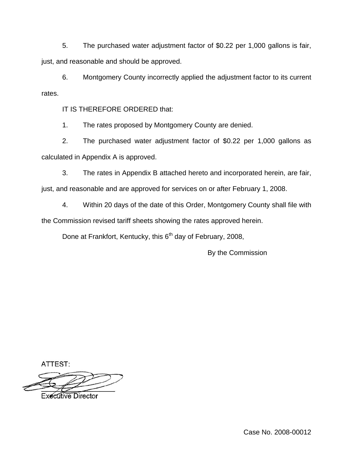5. The purchased water adjustment factor of \$0.22 per 1,000 gallons is fair, just, and reasonable and should be approved.

6. Montgomery County incorrectly applied the adjustment factor to its current rates.

IT IS THEREFORE ORDERED that:

1. The rates proposed by Montgomery County are denied.

2. The purchased water adjustment factor of \$0.22 per 1,000 gallons as calculated in Appendix A is approved.

3. The rates in Appendix B attached hereto and incorporated herein, are fair, just, and reasonable and are approved for services on or after February 1, 2008.

4. Within 20 days of the date of this Order, Montgomery County shall file with the Commission revised tariff sheets showing the rates approved herein.

Done at Frankfort, Kentucky, this 6<sup>th</sup> day of February, 2008,

By the Commission

ATTEST:

**Executive Director** 

Case No. 2008-00012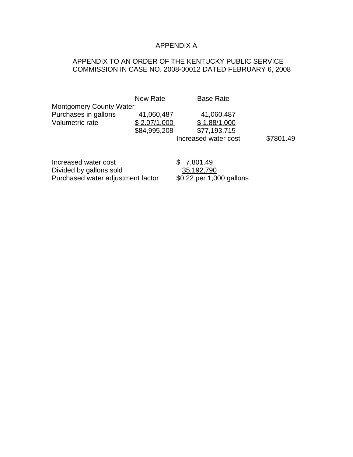## APPENDIX A

## APPENDIX TO AN ORDER OF THE KENTUCKY PUBLIC SERVICE COMMISSION IN CASE NO. 2008-00012 DATED FEBRUARY 6, 2008

| <b>Montgomery County Water</b>                                                       | New Rate                                   | <b>Base Rate</b>                                                   |           |
|--------------------------------------------------------------------------------------|--------------------------------------------|--------------------------------------------------------------------|-----------|
| Purchases in gallons<br>Volumetric rate                                              | 41,060,487<br>\$2.07/1,000<br>\$84,995,208 | 41,060,487<br>\$1.88/1,000<br>\$77,193,715<br>Increased water cost | \$7801.49 |
| Increased water cost<br>Divided by gallons sold<br>Purchased water adjustment factor |                                            | \$7,801.49<br>35,192,790<br>\$0.22 per 1,000 gallons               |           |